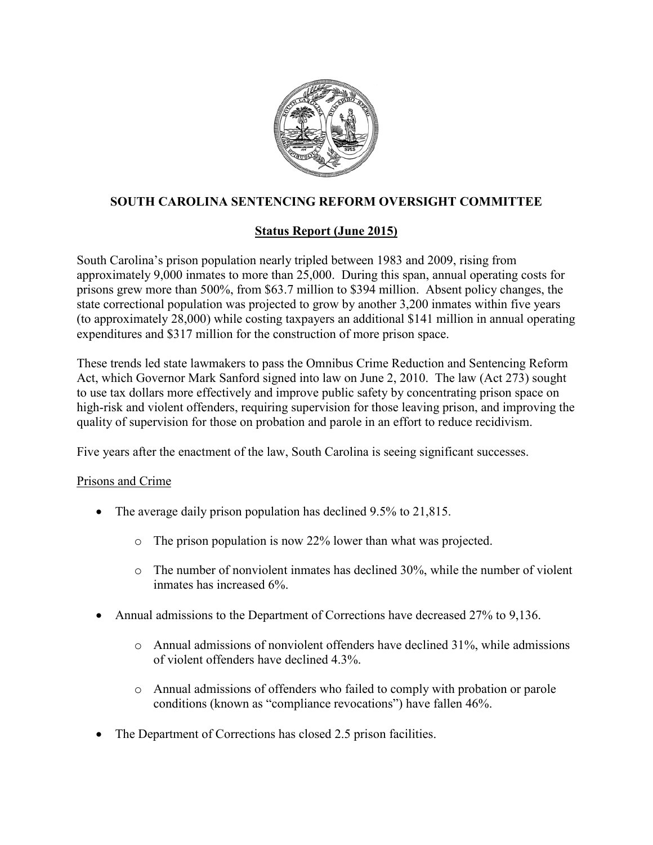

# **SOUTH CAROLINA SENTENCING REFORM OVERSIGHT COMMITTEE**

## **Status Report (June 2015)**

South Carolina's prison population nearly tripled between 1983 and 2009, rising from approximately 9,000 inmates to more than 25,000. During this span, annual operating costs for prisons grew more than 500%, from \$63.7 million to \$394 million. Absent policy changes, the state correctional population was projected to grow by another 3,200 inmates within five years (to approximately 28,000) while costing taxpayers an additional \$141 million in annual operating expenditures and \$317 million for the construction of more prison space.

These trends led state lawmakers to pass the Omnibus Crime Reduction and Sentencing Reform Act, which Governor Mark Sanford signed into law on June 2, 2010. The law (Act 273) sought to use tax dollars more effectively and improve public safety by concentrating prison space on high-risk and violent offenders, requiring supervision for those leaving prison, and improving the quality of supervision for those on probation and parole in an effort to reduce recidivism.

Five years after the enactment of the law, South Carolina is seeing significant successes.

### Prisons and Crime

- The average daily prison population has declined 9.5% to 21,815.
	- o The prison population is now 22% lower than what was projected.
	- o The number of nonviolent inmates has declined 30%, while the number of violent inmates has increased 6%.
- Annual admissions to the Department of Corrections have decreased 27% to 9,136.
	- $\circ$  Annual admissions of nonviolent offenders have declined 31%, while admissions of violent offenders have declined 4.3%.
	- o Annual admissions of offenders who failed to comply with probation or parole conditions (known as "compliance revocations") have fallen 46%.
- The Department of Corrections has closed 2.5 prison facilities.